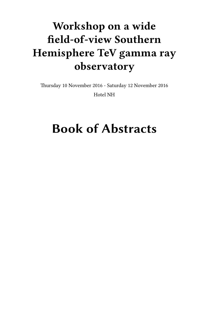# **Workshop on a wide field-of-view Southern Hemisphere TeV gamma ray observatory**

Thursday 10 November 2016 - Saturday 12 November 2016 Hotel NH

## **Book of Abstracts**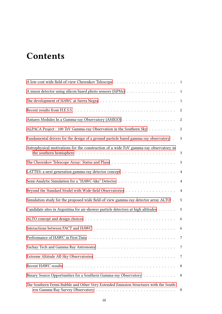## **Contents**

| A muon detector using silicon based photo sensors (SiPMs) 1                           |                  |
|---------------------------------------------------------------------------------------|------------------|
|                                                                                       |                  |
|                                                                                       | 2                |
|                                                                                       | $\boldsymbol{2}$ |
| ALPACA Project : 100 TeV Gamma-ray Observation in the Southern Sky                    | $\boldsymbol{2}$ |
| Fundamental drivers for the design of a ground-particle based gamma ray observatory . | 3                |
| Astrophysical motivations for the construction of a wide FoV gamma-ray observatory in | 3                |
|                                                                                       | 3                |
|                                                                                       | $\overline{4}$   |
|                                                                                       | $\overline{4}$   |
|                                                                                       | $\overline{4}$   |
| Simulation study for the proposed wide field-of-view gamma-ray detector array ALTO .  | 5                |
| Candidate sites in Argentina for air-shower particle detectors at high altitudes      | $\sqrt{5}$       |
|                                                                                       | 6                |
|                                                                                       | 6                |
|                                                                                       | $\overline{7}$   |
|                                                                                       | 7                |
|                                                                                       | 7                |
|                                                                                       | 8                |
| Binary Source Opportunities for a Southern Gamma-ray Observatory                      | 8                |
| The Southern Fermi Bubble and Other Very Extended Emission Structures with the South- | 8                |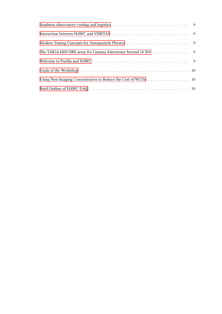| The TAIGA-HiSCORE array for Gamma Astronomy beyond 10 TeV 9   |  |
|---------------------------------------------------------------|--|
|                                                               |  |
|                                                               |  |
| Using Non-Imaging Concentrators to Reduce the Cost of WCDs 10 |  |
|                                                               |  |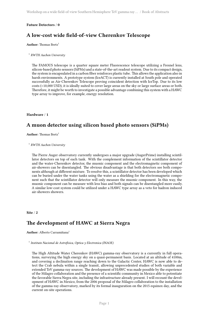#### <span id="page-4-0"></span>**Future Detectors** / **0**

## **A low-cost wide field-of-view Cherenkov Telescope**

#### **Author:** Thomas Bretz<sup>1</sup>

#### 1 *RWTH Aachen University*

The FAMOUS telescope is a quarter square meter Fluorescence telescope utilizing a Fresnel lens, silicon-based photo sensors (SiPMs) and a state-of-the-art readout system. Due to its compact design, the system is encapsulated in a carbon fiber reinforces plastic tube. This allows the application also in harsh environments. A prototype system (IceACT) is currently installed at South pole and operated successfully as Air-Cherenkov Telescope proving coincident detection with IceTop. Due to its low costs (<10,000 USD), it is ideally suited to cover large areas on the sky or large surface areas or both. Therefore, it might be worth to investigate a possible advantage combining this system with a HAWC type array to improve, for example, energy resolution.

#### <span id="page-4-1"></span>**Hardware** / **1**

## **A muon detector using silicon based photo sensors (SiPMs)**

**Author:** Thomas Bretz<sup>1</sup>

1 *RWTH Aachen University*

The Pierre Auger observatory currently undergoes a major upgrade (AugerPrime) installing scintillator detectors on top of each tank. With the complement information of the scintillator detector and the water-Cherenkov detector, the muonic component and the electromagnetic component of air-showers can be disentangled. The obvious disadvantage is that both detectors see both components although at different mixture. To resolve this, a scintillator detector has been developed which can be buried under the water tanks using the water as a shielding for the electromagnetic component such that the scintillator detector will only measure the muonic component. In this way, the muonic component can be measure with less bias and both signals can be disentangled more easily. A similar low-cost system could be utilized under a HAWC type array as a veto for hadron induced air-showers showers.

<span id="page-4-2"></span>**Site** / **2**

## **The development of HAWC at Sierra Negra**

**Author:** Alberto Carramiñana<sup>1</sup>

1 *Instituto Nacional de Astrofisica, Optica y Electronica (INAOE)*

The High Altitude Water Cherenkov (HAWC) gamma-ray observatory is a currently in full operations, surveying the high energy sky on a quasi-permanent basis. Located at an altitude of 4100m, and covering a declination range reaching down to the Galactic Center, HAWC is now able to detect the Crab nebula within a single transit, allowing unprecedented studies of both variable and extended TeV gamma-ray sources. The development of HAWC was made possible by the experience of the Milagro collaboration and the presence of a scientific community in Mexico able to potentiate the favorable Sierra Negra site, including the infrastructure already present. I will recount the development of HAWC in Mexico, from the 2006 proposal of the Milagro collaboration to the installation of the gamma-ray observatory, marked by its formal inauguration on the 2015 equinox day, and the current on-site operations.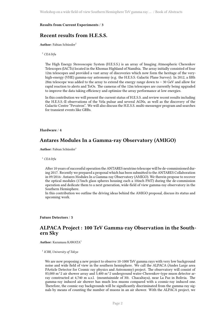#### <span id="page-5-0"></span>**Results from Current Experiments** / **3**

#### **Recent results from H.E.S.S.**

**Author:** Fabian Schüssler<sup>1</sup>

#### <sup>1</sup> *CEA/Irfu*

The High Energy Stereoscopic System (H.E.S.S.) is an array of Imaging Atmospheric Cherenkov Telescopes (IACTs) located in the Khomas Highland of Namibia. The array initially consisted of four 12m telescopes and provided a vast array of discoveries which now form the heritage of the veryhigh-energy (VHE) gamma-ray astronomy (e.g. the H.E.S.S. Galactic Plane Survey). In 2012, a fifth 28m telescope was added to the array to extend the energy range down to ∼ 30 GeV and allow for rapid reaction to alerts and ToOs. The cameras of the 12m telescopes are currently being upgraded to improve the data taking efficiency and optimize the array performance at low energies.

In this contribution we will present the current status of H.E.S.S. and review recent results including the H.E.S.S.-II observations of the Vela pulsar and several AGNs, as well as the discovery of the Galactic Centre "Pevatron". We will also discuss the H.E.S.S. multi-messenger program and searches for transient events like GRBs.

#### <span id="page-5-1"></span>**Hardware** / **4**

#### **Antares Modules In a Gamma-ray Observatory (AMIGO)**

Author: Fabian Schüssler<sup>1</sup>

<sup>1</sup> *CEA/Irfu*

After 10 years of successful operation the ANTARES neutrino telescope will be de-commissioned during 2017. Recently we prepared a proposal which has been submitted to the ANTARES Collaboration in 09/2016: Antares Modules In a Gamma-ray Observatory (AMIGO). We therein propose to recover the optical modules (17inch glass spheres housing each a 10inch PMT) during the de-commission operation and dedicate them to a next generation, wide-field of view gamma-ray observatory in the Southern Hemisphere.

In this contribution we outline the driving ideas behind the AMIGO proposal, discuss its status and upcoming work.

<span id="page-5-2"></span>**Future Detectors** / **5**

#### **ALPACA Project : 100 TeV Gamma-ray Observation in the Southern Sky**

**Author:** Kazumasa KAWATA<sup>1</sup>

1 *ICRR, University of Tokyo*

We are now proposing a new project to observe 10-1000 TeV gamma rays with very low background noise and wide field of view in the southern hemisphere. We call the ALPACA (Andes Large area PArticle Detector for Cosmic ray physics and Astronomy) project. The observatory will consist of 83,000 m<sup> $\textdegree$ </sup>2 air shower array and 5,400 m<sup> $\textdegree$ </sup>2 underground water-Cherenkov-type muon detector array constructed at 4,740 m a.s.l. (mountainside of Mt. Chacaltaya), near La Paz in Bolivia. The gamma-ray induced air shower has much less muons compared with a cosmic-ray induced one. Therefore, the cosmic-ray backgrounds will be significantly discriminated from the gamma-ray signals by means of counting the number of muons in an air shower. With the ALPACA project, we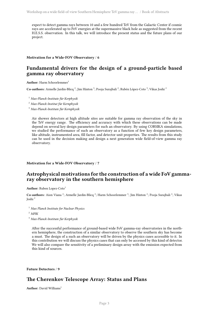expect to detect gamma rays between 10 and a few hundred TeV from the Galactic Center if cosmic rays are accelerated up to PeV energies at the supermassive black hole as suggested from the recent H.E.S.S. observation. In this talk, we will introduce the present status and the future plans of our project.

<span id="page-6-0"></span>**Motivation for a Wide-FOV Observatory** / **6**

## **Fundamental drivers for the design of a ground-particle based gamma ray observatory**

**Author:** Harm Schoorlemmer<sup>1</sup>

Co-authors: Armelle Jardin-Blicq <sup>2</sup>; Jim Hinton <sup>3</sup>; Pooja Surajbali <sup>2</sup>; Rubén López-Coto <sup>3</sup>; Vikas Joshi <sup>2</sup>

<sup>1</sup> *Max-Planck-Institute für Kerphysik*

<sup>2</sup> *Max-Planck-Institut für Kernphysik*

<sup>3</sup> *Max-Planck-Institute für Kernphysik*

Air shower detectors at high altitude sites are suitable for gamma ray observation of the sky in the TeV energy range. The efficiency and accuracy with which these observations can be made depend on several key design parameters for such an observatory. By using CORSIKA simulations, we studied the performance of such an observatory as a function of few key design parameters, like altitude, instrumented area, fill factor, and detector unit properties. The results from this study can be used in the decision making and design a next generation wide field-of-view gamma ray observatory.

<span id="page-6-1"></span>**Motivation for a Wide-FOV Observatory** / **7**

#### **Astrophysical motivations for the construction of a wide FoV gammaray observatory in the southern hemisphere**

Author: Ruben Lopez-Coto<sup>1</sup>

Co-authors: Aion Viana<sup>2</sup>; Armelle Jardin-Blicq<sup>2</sup>; Harm Schoorlemmer<sup>3</sup>; Jim Hinton<sup>2</sup>; Pooja Surajbali<sup>2</sup>; Vikas Joshi <sup>2</sup>

<sup>1</sup> *Max Planck Institute for Nuclear Physics*

<sup>2</sup> *MPIK*

<sup>3</sup> *Max-Planck-Institute für Kerphysik*

After the successful performance of ground-based wide FoV gamma-ray observatories in the northern hemisphere, the construction of a similar observatory to observe the southern sky has become a must. The design of a such an observatory will be driven by the physics cases accessible to it. In this contribution we will discuss the physics cases that can only be accessed by this kind of detector. We will also compare the sensitivity of a preliminary design array with the emission expected from this kind of sources.

<span id="page-6-2"></span>**Future Detectors** / **9**

## **The Cherenkov Telescope Array: Status and Plans**

**Author:** David Williams<sup>1</sup>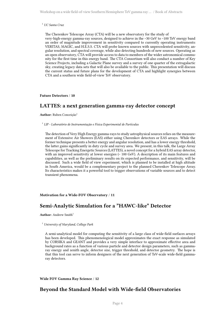Workshop on a wide field-of-view Southern Hemisphere TeV gamma ray … / Book of Abstracts

<sup>1</sup> *UC Santa Cruz*

The Cherenkov Telescope Array (CTA) will be a new observatory for the study of very-high-energy gamma-ray sources, designed to achieve in the ~30 GeV to ~100 TeV energy band an order of magnitude improvement in sensitivity compared to currently operating instruments: VERITAS, MAGIC, and H.E.S.S. CTA will probe known sources with unprecedented sensitivity, angular resolution, and spectral coverage, while also detecting hundreds of new sources. Operating as an open observatory, CTA will provide access to data to members of the wider astronomical community for the first time in this energy band. The CTA Consortium will also conduct a number of Key Science Projects, including a Galactic Plane survey and a survey of one quarter of the extragalactic sky, creating legacy data sets that will also be available to the public. This presentation will discuss the current status and future plans for the development of CTA and highlight synergies between CTA and a southern wide field-of-view TeV observatory.

<span id="page-7-0"></span>**Future Detectors** / **10**

## **LATTES: a next generation gamma-ray detector concept**

**Author:** Ruben Conceição<sup>1</sup>

1 *LIP - Laboratório de Instrumentação e Física Experimental de Partículas*

The detection of Very High Energy gamma-rays to study astrophysical sources relies on the measurement of Extensive Air Showers (EAS) either using Cherenkov detectors or EAS arrays. While the former technique presents a better energy and angular resolution, and has a lower energy threshold, the latter gains significantly in duty cycle and survey area. We present, in this talk, the Large Array Telescope for Tracking Energetic Sources (LATTES), a novel concept for a hybrid EAS array detector, with an improved sensitivity at lower energies (~ 100 GeV). A description of its main features and capabilities, as well as the preliminary results on its expected performance, and sensitivity, will be discussed. Such a wide field of view experiment, which is planned to be installed at high altitude in South America, would be a complementary project to the planned Cherenkov Telescope Array. Its characteristics makes it a powerful tool to trigger observations of variable sources and to detect transient phenomena.

<span id="page-7-1"></span>**Motivation for a Wide-FOV Observatory** / **11**

## **Semi-Analytic Simulation for a "HAWC-like" Detector**

**Author:** Andrew Smith<sup>1</sup>

<sup>1</sup> *University of Maryland, College Park*

A semi-analytical model for computing the sensitivity of a large class of wide-field surfaces arrays has been developed. This phenomenological model approximates the exact response as simulated by CORSIKA and GEANT and provides a very simple interface to approximate effective area and background rates as a function of various particle and detector design parameters, such as gammaray energy and zenith angle, detector size, trigger threshold, and detector geometry. The hope is that this tool can serve to inform designers of the next generation of TeV-scale wide-field gammaray detectors.

<span id="page-7-2"></span>**Wide FOV Gamma Ray Science** / **12**

## **Beyond the Standard Model with Wide-field Observatories**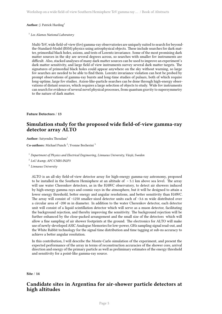#### **Author:** J. Patrick Harding<sup>1</sup>

#### 1 *Los Alamos National Laboratory*

Multi-TeV, wide field-of-view (fov) gamma-ray observatories are uniquely suited to search for beyondthe-Standard-Model (BSM) physics using astrophysical objects. These include searches for dark matter, primordial black holes, axions, and tests of Lorentz invariance. Some of the most promising dark matter sources in the sky are several degrees across, so searches with smaller fov instruments are difficult. Also, stacked analyses of many dark matter sources can be used to improve an experiment's dark matter sensitivity, and large field of view instruments survey several dark matter targets. The signatures of primordial black holes could appear anywhere on the sky without warning, so large fov searches are needed to be able to find them. Lorentz invariance violation can best be probed by prompt observations of gamma-ray bursts and long-time studies of pulsars, both of which require long-uptime, large fov studies. Axion-like-particle searches can be done through high-energy observations of distant sources, which requires a large selection of objects to study. Wide fov instruments can search for evidence of several novel physical processes, from quantum gravity to supersymmetry to the nature of dark matter.

#### <span id="page-8-0"></span>**Future Detectors** / **13**

## **Simulation study for the proposed wide field-of-view gamma-ray detector array ALTO**

**Author:** Satyendra Thoudam<sup>1</sup>

Co-authors: Michael Punch<sup>2</sup>; Yvonne Becherini<sup>3</sup>

- <sup>1</sup> *Department of Physics and Electrical Engineering, Linnaeus University, Växjö, Sweden*
- <sup>2</sup> LnU &amp; APC/CNRS-IN2P3
- 3 *Linnaeus University*

ALTO is an all-sky field-of-view detector array for high-energy gamma-ray astronomy, proposed to be installed in the Southern Hemisphere at an altitude of  $\sim$  5.1 km above sea level. The array will use water Cherenkov detectors, as in the HAWC observatory, to detect air showers induced by high-energy gamma rays and cosmic rays in the atmosphere, but it will be designed to attain a lower energy threshold, better energy and angular resolutions, and better sensitivity than HAWC. The array will consist of  $\sim$ 1250 smaller-sized detector units each of  $\sim$ 3.6 m wide distributed over a circular area of ~200 m in diameter. In addition to the water Cherenkov detector, each detector unit will consist of a liquid scintillation detector which will serve as a muon detector, facilitating the background rejection, and thereby improving the sensitivity. The background rejection will be further enhanced by the close-packed arrangement and the small size of the detectors which will allow a fine sampling of air shower footprints at the ground. The electronics for ALTO will make use of newly-developed ASIC Analogue Memories for low-power, GHz sampling signal read-out, and the White Rabbit technology for the signal time distribution and time tagging at sub-ns accuracy to achieve a better angular resolution.

In this contribution, I will describe the Monte-Carlo simulation of the experiment, and present the expected performance of the array in terms of reconstruction accuracies of the shower core, arrival direction and energy of the primary particle as well as preliminary estimates of the energy threshold and sensitivity for a point-like gamma-ray source.

<span id="page-8-1"></span>**Site** / **14**

#### **Candidate sites in Argentina for air-shower particle detectors at high altitudes**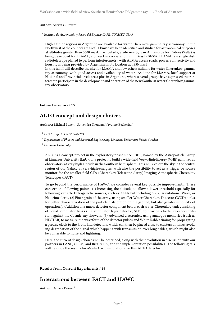**Author:** Adrian C. Rovero<sup>1</sup>

1 *Instituto de Astronomía y Física del Espacio (IAFE, CONICET-UBA)*

High altitude regions in Argentina are available for water Cherenkov gamma-ray astronomy. In the Northwest of the country areas of ~1 km2 have been identified and studied for astronomical purposes at altitudes greater than 3500 masl. Particularly, a site nearby San Antonio de los Cobres (Salta) is being developed for LLAMA, a project in cooperation with Brasil (50/50). LLAMA is a single dish radiotelescope planed to perform interferometry with ALMA; access roads, power, connectivity and housing is being provided by Argentina in its location at 4850 masl.

In this talk I will describe the site for LLAMA and few others suitable for water Cherenkov gammaray astronomy, with good access and availability of water. As done for LLAMA, local support at National and Provincial levels are a plus in Argentina, where several groups have expressed their interest to participate in the development and operation of the new Southern water Cherenkov gammaray observatory.

<span id="page-9-0"></span>**Future Detectors** / **15**

## **ALTO concept and design choices**

 $\mathbf{Authors: Michael Punch}^1; \mathbf{Satyendra} \text{ Thought}^2; \mathbf{Yvonne Becherini}^3$ 

<sup>1</sup> LnU &amp; APC/CNRS-IN2P3

<sup>2</sup> *Department of Physics and Electrical Engineering, Linnaeus University, Växjö, Sweden*

3 *Linnaeus University*

ALTO is a concept/project in the exploratory phase since ~2013, named by the Astroparticle Group at Linnaeus University (LnU) for a project to build a wide-field Very-High-Energy (VHE) gamma-ray observatory at very high altitude in the Southern hemisphere. This will explore the sky in the central region of our Galaxy at very-high-energies, with also the possibility to act as a trigger or source monitor for the smaller-field CTA (Cherenkov Telescope Array) Imaging Atmospheric Cherenkov Telescopes (IACT).

To go beyond the performance of HAWC, we consider several key possible improvements. These concern the following points. (1) Increasing the altitude, to allow a lower threshold especially for following variable Extragalactic sources, such as AGNs but including GRB, Gravitational Wave, or Neutrino alerts. (2) Finer grain of the array, using smaller Water Cherenkov Detector (WCD) tanks, for better characterization of the particle distribution on the ground, but also greater simplicity of operation.(4) Addition of a muon-detector component below each water-Cherenkov tank consisting of liquid scintillator tanks (the scintillator layer detector, SLD), to provide a better rejection criterion against the Cosmic-ray showers. (3) Advanced electronics, using analogue memories (such as NECTAR) to measure the waveform of the detector pulses and White Rabbit timing for propagating a precise clock to the Front End detectors, which can then be placed close to clusters of tanks, avoiding degradation of the signal which happens with transmission over long cables, which might also be vulnerable to noise and lightning.

Here, the current design choices will be described, along with their evolution in discussion with our partners in LANL, CPPM, and IRFU/CEA, and the implementation possibilities. The following talk will describe the results for Monte Carlo simulations for this ALTO detector.

<span id="page-9-1"></span>**Results from Current Experiments** / **16**

#### **Interactions between FACT and HAWC**

**Author:** Daniela Dorner<sup>1</sup>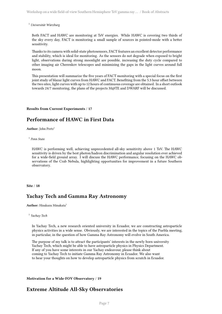<sup>1</sup> *Universität Würzburg*

Both FACT and HAWC are monitoring at TeV energies. While HAWC is covering two thirds of the sky every day, FACT is monitoring a small sample of sources in pointed-mode with a better sensitivity.

Thanks to its camera with solid-state photosensors, FACT features an excellent detector performance and stability, which is ideal for monitoring. As the sensors do not degrade when exposed to bright light, observations during strong moonlight are possible, increasing the duty cycle compared to other imaging air Cherenkov telescopes and minimizing the gaps in the light curves around full moon.

This presentation will summarize the five years of FACT monitoring with a special focus on the first joint study of blazar light curves from HAWC and FACT. Benefiting from the 5.3 hour offset between the two sites, light curves with up to 12 hours of continuous coverage are obtained. In a short outlook towards 24/7 monitoring, the plans of the projects M@TE and DWARF will be discussed.

#### <span id="page-10-0"></span>**Results from Current Experiments** / **17**

## **Performance of HAWC in First Data**

Author: John Pretz<sup>1</sup>

1 *Penn State*

HAWC is performing well, achieving unprecedented all-sky sensitivity above 1 TeV. The HAWC sensitivity is driven by the best photon/hadron discrimination and angular resolution ever achieved for a wide-field ground array. I will discuss the HAWC performance, focusing on the HAWC observations of the Crab Nebula, highlighting opportunities for improvement in a future Southern observatory.

#### <span id="page-10-1"></span>**Site** / **18**

#### **Yachay Tech and Gamma Ray Astronomy**

**Author:** Hisakazu Minakata<sup>1</sup>

In Yachay Tech, a new research oriented university in Ecuador, we are constructing astroparticle physics activities in a wide sense. Obviously, we are interested in the topics of the Puebla meeting, in particular, in the question of how Gamma Ray Astronomy will evolve in South America.

The purpose of my talk is to attract the participants' interests in the newly born university Yachay Tech, which might be able to have astroparticle physics in Physics Department. If any of you have some interests in our Yachay endeavour, please think about coming to Yachay Tech to initiate Gamma Ray Astronomy in Ecuador. We also want to hear your thoughts on how to develop astroparticle physics from scratch in Ecuador.

#### <span id="page-10-2"></span>**Motivation for a Wide-FOV Observatory** / **19**

## **Extreme Altitude All-Sky Observatories**

<sup>1</sup> *Yachay Tech*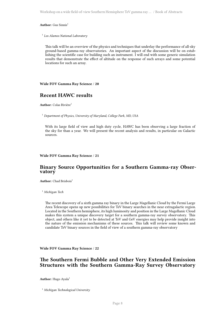Workshop on a wide field-of-view Southern Hemisphere TeV gamma ray … / Book of Abstracts

#### Author: Gus Sinnis<sup>1</sup>

1 *Los Alamos National Laboratory*

This talk will be an overview of the physics and techniques that underlay the performance of all-sky ground-based gamma-ray observatories. An important aspect of the discussion will be on establishing the scientific case for building such an instrument. I will end with some generic simulation results that demonstrate the effect of altitude on the response of such arrays and some potential locations for such an array.

<span id="page-11-0"></span>**Wide FOV Gamma Ray Science** / **20**

## **Recent HAWC results**

**Author:** Colas Rivière<sup>1</sup>

<sup>1</sup> *Department of Physics, University of Maryland, College Park, MD, USA*

With its large field of view and high duty cycle, HAWC has been observing a large fraction of the sky for than a year. We will present the recent analysis and results, in particular on Galactic sources.

#### <span id="page-11-1"></span>**Wide FOV Gamma Ray Science** / **21**

#### **Binary Source Opportunities for a Southern Gamma-ray Observatory**

Author: Chad Brisbois<sup>1</sup>

<sup>1</sup> *Michigan Tech*

The recent discovery of a sixth gamma ray binary in the Large Magellanic Cloud by the Fermi Large Area Telescope opens up new possibilities for TeV binary searches in the near extragalactic region. Located in the Southern hemisphere, its high luminosity and position in the Large Magellanic Cloud makes this system a unique discovery target for a southern gamma-ray survey observatory. This object, and others like it yet to be detected at TeV and GeV energies may help provide insight into the nature of the emission mechanisms of these sources. This talk will review some known and candidate TeV binary sources in the field of view of a southern gamma-ray observatory

<span id="page-11-2"></span>**Wide FOV Gamma Ray Science** / **22**

#### **The Southern Fermi Bubble and Other Very Extended Emission Structures with the Southern Gamma-Ray Survey Observatory**

Author: Hugo Ayala<sup>1</sup>

<sup>1</sup> *Michigan Technological University*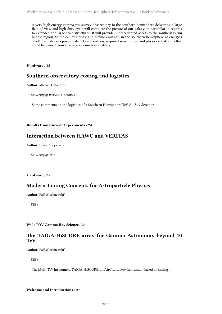A very high energy gamma-ray survey observatory in the southern hemisphere delivering a large field-of-view and high-duty cycle will complete the picture of our galaxy, in particular in regards to extended and large scale structures. It will provide unprecedented access to the southern Fermi bubble region, to molecular clouds, and diffuse emission in the southern hemisphere at energies >GeV. I will discuss possible detection scenarios, required sensitivities, and physics constraints that could be gained from a large area emission analysis.

<span id="page-12-0"></span>**Hardware** / **23**

#### **Southern observatory costing and logistics**

**Author:** Michael DuVernois<sup>1</sup>

<sup>1</sup> *University of Wisconsin–Madison*

Some comments on the logistics of a Southern Hemisphere TeV All-Sky detector.

#### <span id="page-12-1"></span>**Results from Current Experiments** / **24**

#### **Interaction between HAWC and VERITAS**

Author: Udara Abeysekara<sup>1</sup>

<sup>1</sup> *University of Utah*

<span id="page-12-2"></span>**Hardware** / **25**

#### **Modern Timing Concepts for Astroparticle Physics**

**Author:** Ralf Wischnewski<sup>1</sup>

<sup>1</sup> *DESY*

<span id="page-12-3"></span>**Wide FOV Gamma Ray Science** / **26**

#### **The TAIGA-HiSCORE array for Gamma Astronomy beyond 10 TeV**

**Author:** Ralf Wischnewski<sup>1</sup>

<sup>1</sup> *DESY*

The Multi-TeV instrument TAIGA-HiSCORE, an AirCherenkov Instrument based on timing .

<span id="page-12-4"></span>**Welcome and Introductions** / **27**